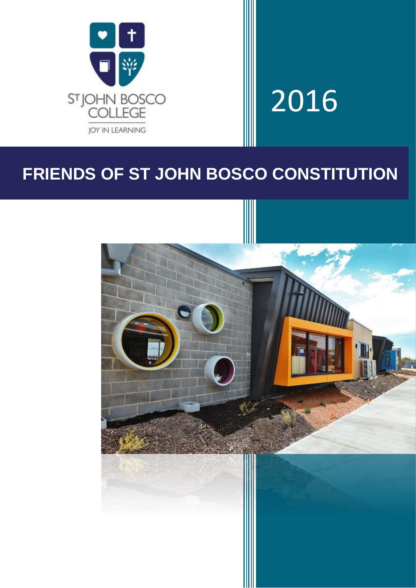

# 2016

# **FRIENDS OF ST JOHN BOSCO CONSTITUTION**

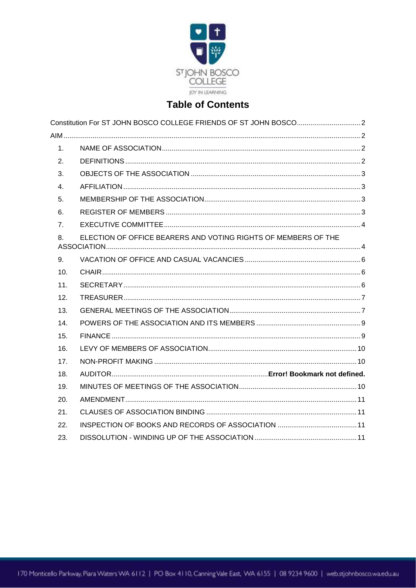

# **Table of Contents**

| 1.  |                                                                |  |
|-----|----------------------------------------------------------------|--|
| 2.  |                                                                |  |
| 3.  |                                                                |  |
| 4.  |                                                                |  |
| 5.  |                                                                |  |
| 6.  |                                                                |  |
| 7.  |                                                                |  |
| 8.  | ELECTION OF OFFICE BEARERS AND VOTING RIGHTS OF MEMBERS OF THE |  |
| 9.  |                                                                |  |
| 10. |                                                                |  |
| 11. |                                                                |  |
| 12. |                                                                |  |
| 13. |                                                                |  |
| 14. |                                                                |  |
| 15. |                                                                |  |
| 16. |                                                                |  |
| 17. |                                                                |  |
| 18. |                                                                |  |
| 19. |                                                                |  |
| 20. |                                                                |  |
| 21. |                                                                |  |
| 22. |                                                                |  |
| 23. |                                                                |  |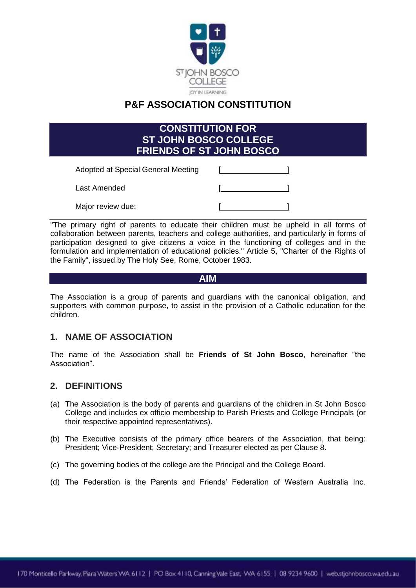

## **P&F ASSOCIATION CONSTITUTION**

<span id="page-2-0"></span>

| <b>CONSTITUTION FOR</b><br><b>ST JOHN BOSCO COLLEGE</b><br><b>FRIENDS OF ST JOHN BOSCO</b> |  |  |  |  |  |
|--------------------------------------------------------------------------------------------|--|--|--|--|--|
| Adopted at Special General Meeting                                                         |  |  |  |  |  |
| Last Amended                                                                               |  |  |  |  |  |
| Major review due:                                                                          |  |  |  |  |  |

"The primary right of parents to educate their children must be upheld in all forms of collaboration between parents, teachers and college authorities, and particularly in forms of participation designed to give citizens a voice in the functioning of colleges and in the formulation and implementation of educational policies." Article 5, "Charter of the Rights of the Family", issued by The Holy See, Rome, October 1983.

#### **AIM**

<span id="page-2-1"></span>The Association is a group of parents and guardians with the canonical obligation, and supporters with common purpose, to assist in the provision of a Catholic education for the children.

#### <span id="page-2-2"></span>**1. NAME OF ASSOCIATION**

The name of the Association shall be **Friends of St John Bosco**, hereinafter "the Association".

#### <span id="page-2-3"></span>**2. DEFINITIONS**

- (a) The Association is the body of parents and guardians of the children in St John Bosco College and includes ex officio membership to Parish Priests and College Principals (or their respective appointed representatives).
- (b) The Executive consists of the primary office bearers of the Association, that being: President; Vice-President; Secretary; and Treasurer elected as per Clause 8.
- (c) The governing bodies of the college are the Principal and the College Board.
- (d) The Federation is the Parents and Friends' Federation of Western Australia Inc.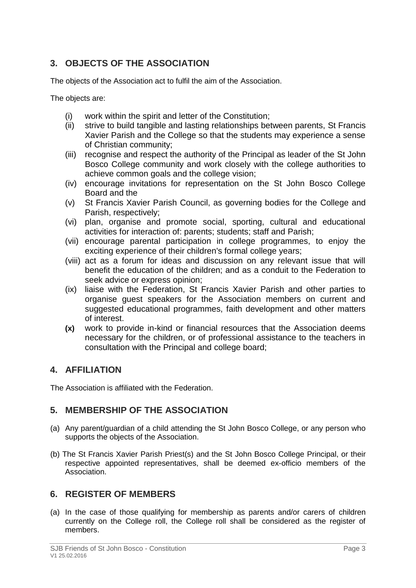### <span id="page-3-0"></span>**3. OBJECTS OF THE ASSOCIATION**

The objects of the Association act to fulfil the aim of the Association.

The objects are:

- (i) work within the spirit and letter of the Constitution;
- (ii) strive to build tangible and lasting relationships between parents, St Francis Xavier Parish and the College so that the students may experience a sense of Christian community;
- (iii) recognise and respect the authority of the Principal as leader of the St John Bosco College community and work closely with the college authorities to achieve common goals and the college vision;
- (iv) encourage invitations for representation on the St John Bosco College Board and the
- (v) St Francis Xavier Parish Council, as governing bodies for the College and Parish, respectively;
- (vi) plan, organise and promote social, sporting, cultural and educational activities for interaction of: parents; students; staff and Parish;
- (vii) encourage parental participation in college programmes, to enjoy the exciting experience of their children's formal college years;
- (viii) act as a forum for ideas and discussion on any relevant issue that will benefit the education of the children; and as a conduit to the Federation to seek advice or express opinion;
- (ix) liaise with the Federation, St Francis Xavier Parish and other parties to organise guest speakers for the Association members on current and suggested educational programmes, faith development and other matters of interest.
- **(x)** work to provide in-kind or financial resources that the Association deems necessary for the children, or of professional assistance to the teachers in consultation with the Principal and college board;

#### <span id="page-3-1"></span>**4. AFFILIATION**

The Association is affiliated with the Federation.

#### <span id="page-3-2"></span>**5. MEMBERSHIP OF THE ASSOCIATION**

- (a) Any parent/guardian of a child attending the St John Bosco College, or any person who supports the objects of the Association.
- (b) The St Francis Xavier Parish Priest(s) and the St John Bosco College Principal, or their respective appointed representatives, shall be deemed ex-officio members of the Association.

#### <span id="page-3-3"></span>**6. REGISTER OF MEMBERS**

(a) In the case of those qualifying for membership as parents and/or carers of children currently on the College roll, the College roll shall be considered as the register of members.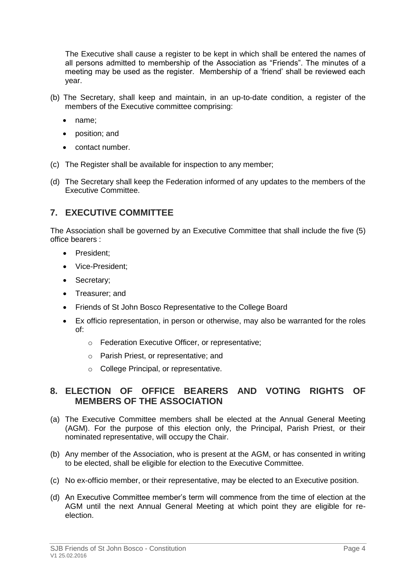The Executive shall cause a register to be kept in which shall be entered the names of all persons admitted to membership of the Association as "Friends". The minutes of a meeting may be used as the register. Membership of a 'friend' shall be reviewed each year.

- (b) The Secretary, shall keep and maintain, in an up-to-date condition, a register of the members of the Executive committee comprising:
	- name;
	- position; and
	- contact number.
- (c) The Register shall be available for inspection to any member;
- (d) The Secretary shall keep the Federation informed of any updates to the members of the Executive Committee.

#### <span id="page-4-0"></span>**7. EXECUTIVE COMMITTEE**

The Association shall be governed by an Executive Committee that shall include the five (5) office bearers :

- President;
- Vice-President:
- Secretary;
- Treasurer; and
- Friends of St John Bosco Representative to the College Board
- Ex officio representation, in person or otherwise, may also be warranted for the roles of:
	- o Federation Executive Officer, or representative;
	- o Parish Priest, or representative; and
	- o College Principal, or representative.

#### <span id="page-4-1"></span>**8. ELECTION OF OFFICE BEARERS AND VOTING RIGHTS OF MEMBERS OF THE ASSOCIATION**

- (a) The Executive Committee members shall be elected at the Annual General Meeting (AGM). For the purpose of this election only, the Principal, Parish Priest, or their nominated representative, will occupy the Chair.
- (b) Any member of the Association, who is present at the AGM, or has consented in writing to be elected, shall be eligible for election to the Executive Committee.
- (c) No ex-officio member, or their representative, may be elected to an Executive position.
- (d) An Executive Committee member's term will commence from the time of election at the AGM until the next Annual General Meeting at which point they are eligible for reelection.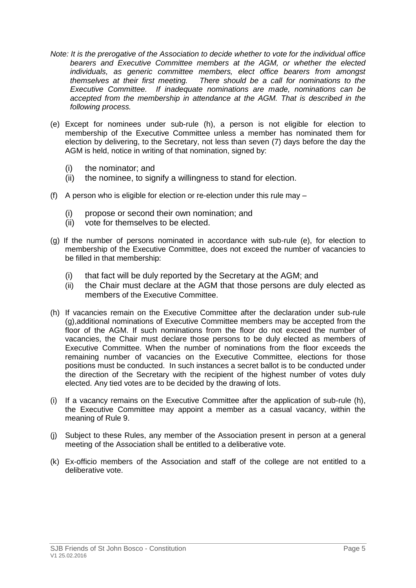- *Note: It is the prerogative of the Association to decide whether to vote for the individual office bearers and Executive Committee members at the AGM, or whether the elected individuals, as generic committee members, elect office bearers from amongst themselves at their first meeting. There should be a call for nominations to the Executive Committee. If inadequate nominations are made, nominations can be*  accepted from the membership in attendance at the AGM. That is described in the *following process.*
- (e) Except for nominees under sub-rule (h), a person is not eligible for election to membership of the Executive Committee unless a member has nominated them for election by delivering, to the Secretary, not less than seven (7) days before the day the AGM is held, notice in writing of that nomination, signed by:
	- (i) the nominator; and
	- (ii) the nominee, to signify a willingness to stand for election.
- (f) A person who is eligible for election or re-election under this rule may
	- (i) propose or second their own nomination; and
	- (ii) vote for themselves to be elected.
- (g) If the number of persons nominated in accordance with sub-rule (e), for election to membership of the Executive Committee, does not exceed the number of vacancies to be filled in that membership:
	- (i) that fact will be duly reported by the Secretary at the AGM; and
	- (ii) the Chair must declare at the AGM that those persons are duly elected as members of the Executive Committee.
- (h) If vacancies remain on the Executive Committee after the declaration under sub-rule (g),additional nominations of Executive Committee members may be accepted from the floor of the AGM. If such nominations from the floor do not exceed the number of vacancies, the Chair must declare those persons to be duly elected as members of Executive Committee. When the number of nominations from the floor exceeds the remaining number of vacancies on the Executive Committee, elections for those positions must be conducted. In such instances a secret ballot is to be conducted under the direction of the Secretary with the recipient of the highest number of votes duly elected. Any tied votes are to be decided by the drawing of lots.
- (i) If a vacancy remains on the Executive Committee after the application of sub-rule (h), the Executive Committee may appoint a member as a casual vacancy, within the meaning of Rule 9.
- (j) Subject to these Rules, any member of the Association present in person at a general meeting of the Association shall be entitled to a deliberative vote.
- (k) Ex-officio members of the Association and staff of the college are not entitled to a deliberative vote.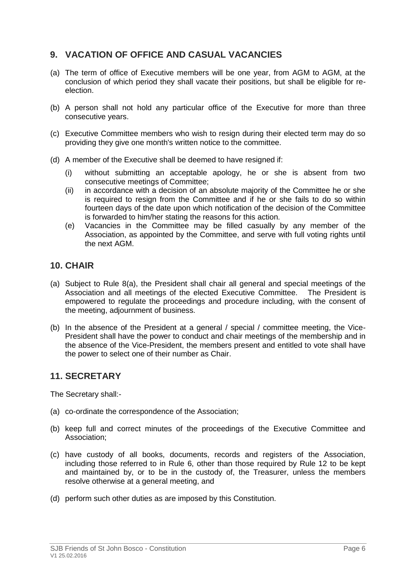#### <span id="page-6-0"></span>**9. VACATION OF OFFICE AND CASUAL VACANCIES**

- (a) The term of office of Executive members will be one year, from AGM to AGM, at the conclusion of which period they shall vacate their positions, but shall be eligible for reelection.
- (b) A person shall not hold any particular office of the Executive for more than three consecutive years.
- (c) Executive Committee members who wish to resign during their elected term may do so providing they give one month's written notice to the committee.
- (d) A member of the Executive shall be deemed to have resigned if:
	- (i) without submitting an acceptable apology, he or she is absent from two consecutive meetings of Committee;
	- (ii) in accordance with a decision of an absolute majority of the Committee he or she is required to resign from the Committee and if he or she fails to do so within fourteen days of the date upon which notification of the decision of the Committee is forwarded to him/her stating the reasons for this action.
	- (e) Vacancies in the Committee may be filled casually by any member of the Association, as appointed by the Committee, and serve with full voting rights until the next AGM.

#### <span id="page-6-1"></span>**10. CHAIR**

- (a) Subject to Rule 8(a), the President shall chair all general and special meetings of the Association and all meetings of the elected Executive Committee. The President is empowered to regulate the proceedings and procedure including, with the consent of the meeting, adjournment of business.
- (b) In the absence of the President at a general / special / committee meeting, the Vice-President shall have the power to conduct and chair meetings of the membership and in the absence of the Vice-President, the members present and entitled to vote shall have the power to select one of their number as Chair.

#### <span id="page-6-2"></span>**11. SECRETARY**

The Secretary shall:-

- (a) co-ordinate the correspondence of the Association;
- (b) keep full and correct minutes of the proceedings of the Executive Committee and Association;
- (c) have custody of all books, documents, records and registers of the Association, including those referred to in Rule 6, other than those required by Rule 12 to be kept and maintained by, or to be in the custody of, the Treasurer, unless the members resolve otherwise at a general meeting, and
- (d) perform such other duties as are imposed by this Constitution.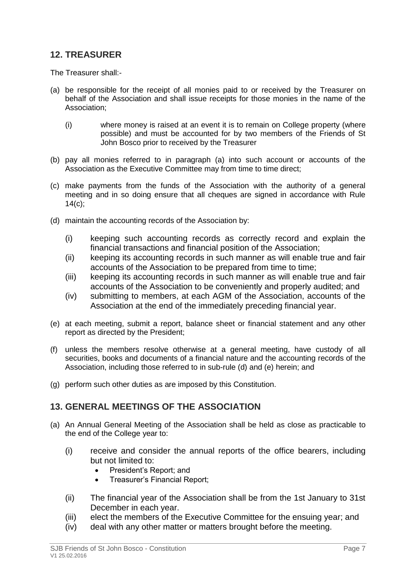#### <span id="page-7-0"></span>**12. TREASURER**

The Treasurer shall:-

- (a) be responsible for the receipt of all monies paid to or received by the Treasurer on behalf of the Association and shall issue receipts for those monies in the name of the Association;
	- (i) where money is raised at an event it is to remain on College property (where possible) and must be accounted for by two members of the Friends of St John Bosco prior to received by the Treasurer
- (b) pay all monies referred to in paragraph (a) into such account or accounts of the Association as the Executive Committee may from time to time direct;
- (c) make payments from the funds of the Association with the authority of a general meeting and in so doing ensure that all cheques are signed in accordance with Rule 14(c);
- (d) maintain the accounting records of the Association by:
	- (i) keeping such accounting records as correctly record and explain the financial transactions and financial position of the Association;
	- (ii) keeping its accounting records in such manner as will enable true and fair accounts of the Association to be prepared from time to time;
	- (iii) keeping its accounting records in such manner as will enable true and fair accounts of the Association to be conveniently and properly audited; and
	- (iv) submitting to members, at each AGM of the Association, accounts of the Association at the end of the immediately preceding financial year.
- (e) at each meeting, submit a report, balance sheet or financial statement and any other report as directed by the President;
- (f) unless the members resolve otherwise at a general meeting, have custody of all securities, books and documents of a financial nature and the accounting records of the Association, including those referred to in sub-rule (d) and (e) herein; and
- (g) perform such other duties as are imposed by this Constitution.

#### <span id="page-7-1"></span>**13. GENERAL MEETINGS OF THE ASSOCIATION**

- (a) An Annual General Meeting of the Association shall be held as close as practicable to the end of the College year to:
	- (i) receive and consider the annual reports of the office bearers, including but not limited to:
		- President's Report: and
		- Treasurer's Financial Report;
	- (ii) The financial year of the Association shall be from the 1st January to 31st December in each year.
	- (iii) elect the members of the Executive Committee for the ensuing year; and
	- (iv) deal with any other matter or matters brought before the meeting.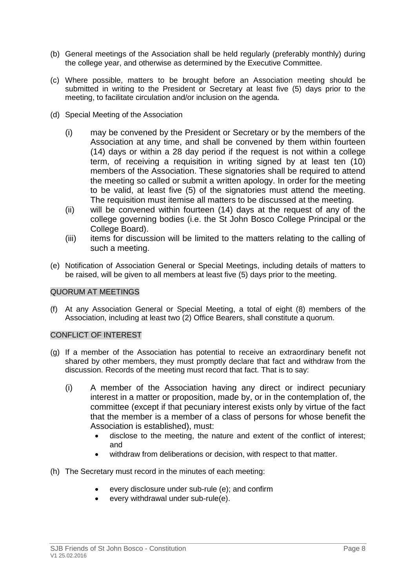- (b) General meetings of the Association shall be held regularly (preferably monthly) during the college year, and otherwise as determined by the Executive Committee.
- (c) Where possible, matters to be brought before an Association meeting should be submitted in writing to the President or Secretary at least five (5) days prior to the meeting, to facilitate circulation and/or inclusion on the agenda.
- (d) Special Meeting of the Association
	- (i) may be convened by the President or Secretary or by the members of the Association at any time, and shall be convened by them within fourteen (14) days or within a 28 day period if the request is not within a college term, of receiving a requisition in writing signed by at least ten (10) members of the Association. These signatories shall be required to attend the meeting so called or submit a written apology. In order for the meeting to be valid, at least five (5) of the signatories must attend the meeting. The requisition must itemise all matters to be discussed at the meeting.
	- (ii) will be convened within fourteen (14) days at the request of any of the college governing bodies (i.e. the St John Bosco College Principal or the College Board).
	- (iii) items for discussion will be limited to the matters relating to the calling of such a meeting.
- (e) Notification of Association General or Special Meetings, including details of matters to be raised, will be given to all members at least five (5) days prior to the meeting.

#### QUORUM AT MEETINGS

(f) At any Association General or Special Meeting, a total of eight (8) members of the Association, including at least two (2) Office Bearers, shall constitute a quorum.

#### CONFLICT OF INTEREST

- (g) If a member of the Association has potential to receive an extraordinary benefit not shared by other members, they must promptly declare that fact and withdraw from the discussion. Records of the meeting must record that fact. That is to say:
	- (i) A member of the Association having any direct or indirect pecuniary interest in a matter or proposition, made by, or in the contemplation of, the committee (except if that pecuniary interest exists only by virtue of the fact that the member is a member of a class of persons for whose benefit the Association is established), must:
		- disclose to the meeting, the nature and extent of the conflict of interest; and
		- withdraw from deliberations or decision, with respect to that matter.
- (h) The Secretary must record in the minutes of each meeting:
	- every disclosure under sub-rule (e); and confirm
	- every withdrawal under sub-rule(e).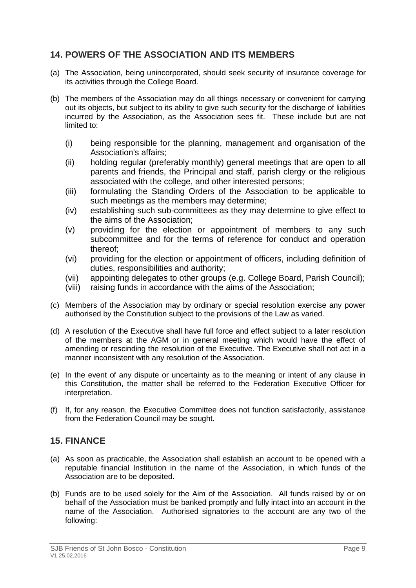#### <span id="page-9-0"></span>**14. POWERS OF THE ASSOCIATION AND ITS MEMBERS**

- (a) The Association, being unincorporated, should seek security of insurance coverage for its activities through the College Board.
- (b) The members of the Association may do all things necessary or convenient for carrying out its objects, but subject to its ability to give such security for the discharge of liabilities incurred by the Association, as the Association sees fit. These include but are not limited to:
	- (i) being responsible for the planning, management and organisation of the Association's affairs;
	- (ii) holding regular (preferably monthly) general meetings that are open to all parents and friends, the Principal and staff, parish clergy or the religious associated with the college, and other interested persons;
	- (iii) formulating the Standing Orders of the Association to be applicable to such meetings as the members may determine;
	- (iv) establishing such sub-committees as they may determine to give effect to the aims of the Association;
	- (v) providing for the election or appointment of members to any such subcommittee and for the terms of reference for conduct and operation thereof;
	- (vi) providing for the election or appointment of officers, including definition of duties, responsibilities and authority;
	- (vii) appointing delegates to other groups (e.g. College Board, Parish Council);
	- (viii) raising funds in accordance with the aims of the Association;
- (c) Members of the Association may by ordinary or special resolution exercise any power authorised by the Constitution subject to the provisions of the Law as varied.
- (d) A resolution of the Executive shall have full force and effect subject to a later resolution of the members at the AGM or in general meeting which would have the effect of amending or rescinding the resolution of the Executive. The Executive shall not act in a manner inconsistent with any resolution of the Association.
- (e) In the event of any dispute or uncertainty as to the meaning or intent of any clause in this Constitution, the matter shall be referred to the Federation Executive Officer for interpretation.
- (f) If, for any reason, the Executive Committee does not function satisfactorily, assistance from the Federation Council may be sought.

#### <span id="page-9-1"></span>**15. FINANCE**

- (a) As soon as practicable, the Association shall establish an account to be opened with a reputable financial Institution in the name of the Association, in which funds of the Association are to be deposited.
- (b) Funds are to be used solely for the Aim of the Association. All funds raised by or on behalf of the Association must be banked promptly and fully intact into an account in the name of the Association. Authorised signatories to the account are any two of the following: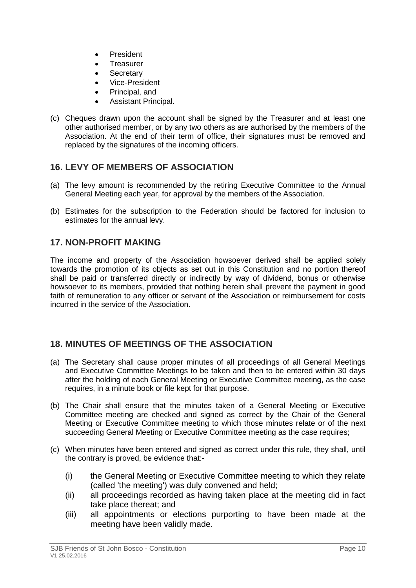- President
- **Treasurer**
- Secretary
- Vice-President
- Principal, and
- Assistant Principal.
- (c) Cheques drawn upon the account shall be signed by the Treasurer and at least one other authorised member, or by any two others as are authorised by the members of the Association. At the end of their term of office, their signatures must be removed and replaced by the signatures of the incoming officers.

#### <span id="page-10-0"></span>**16. LEVY OF MEMBERS OF ASSOCIATION**

- (a) The levy amount is recommended by the retiring Executive Committee to the Annual General Meeting each year, for approval by the members of the Association.
- (b) Estimates for the subscription to the Federation should be factored for inclusion to estimates for the annual levy.

#### <span id="page-10-1"></span>**17. NON-PROFIT MAKING**

The income and property of the Association howsoever derived shall be applied solely towards the promotion of its objects as set out in this Constitution and no portion thereof shall be paid or transferred directly or indirectly by way of dividend, bonus or otherwise howsoever to its members, provided that nothing herein shall prevent the payment in good faith of remuneration to any officer or servant of the Association or reimbursement for costs incurred in the service of the Association.

#### <span id="page-10-2"></span>**18. MINUTES OF MEETINGS OF THE ASSOCIATION**

- (a) The Secretary shall cause proper minutes of all proceedings of all General Meetings and Executive Committee Meetings to be taken and then to be entered within 30 days after the holding of each General Meeting or Executive Committee meeting, as the case requires, in a minute book or file kept for that purpose.
- (b) The Chair shall ensure that the minutes taken of a General Meeting or Executive Committee meeting are checked and signed as correct by the Chair of the General Meeting or Executive Committee meeting to which those minutes relate or of the next succeeding General Meeting or Executive Committee meeting as the case requires;
- (c) When minutes have been entered and signed as correct under this rule, they shall, until the contrary is proved, be evidence that:-
	- (i) the General Meeting or Executive Committee meeting to which they relate (called 'the meeting') was duly convened and held;
	- (ii) all proceedings recorded as having taken place at the meeting did in fact take place thereat; and
	- (iii) all appointments or elections purporting to have been made at the meeting have been validly made.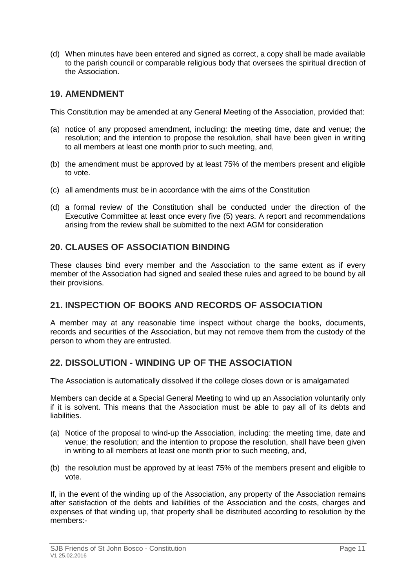(d) When minutes have been entered and signed as correct, a copy shall be made available to the parish council or comparable religious body that oversees the spiritual direction of the Association.

#### <span id="page-11-0"></span>**19. AMENDMENT**

This Constitution may be amended at any General Meeting of the Association, provided that:

- (a) notice of any proposed amendment, including: the meeting time, date and venue; the resolution; and the intention to propose the resolution, shall have been given in writing to all members at least one month prior to such meeting, and,
- (b) the amendment must be approved by at least 75% of the members present and eligible to vote.
- (c) all amendments must be in accordance with the aims of the Constitution
- (d) a formal review of the Constitution shall be conducted under the direction of the Executive Committee at least once every five (5) years. A report and recommendations arising from the review shall be submitted to the next AGM for consideration

#### <span id="page-11-1"></span>**20. CLAUSES OF ASSOCIATION BINDING**

These clauses bind every member and the Association to the same extent as if every member of the Association had signed and sealed these rules and agreed to be bound by all their provisions.

#### <span id="page-11-2"></span>**21. INSPECTION OF BOOKS AND RECORDS OF ASSOCIATION**

A member may at any reasonable time inspect without charge the books, documents, records and securities of the Association, but may not remove them from the custody of the person to whom they are entrusted.

#### <span id="page-11-3"></span>**22. DISSOLUTION - WINDING UP OF THE ASSOCIATION**

The Association is automatically dissolved if the college closes down or is amalgamated

Members can decide at a Special General Meeting to wind up an Association voluntarily only if it is solvent. This means that the Association must be able to pay all of its debts and liabilities.

- (a) Notice of the proposal to wind-up the Association, including: the meeting time, date and venue; the resolution; and the intention to propose the resolution, shall have been given in writing to all members at least one month prior to such meeting, and,
- (b) the resolution must be approved by at least 75% of the members present and eligible to vote.

If, in the event of the winding up of the Association, any property of the Association remains after satisfaction of the debts and liabilities of the Association and the costs, charges and expenses of that winding up, that property shall be distributed according to resolution by the members:-